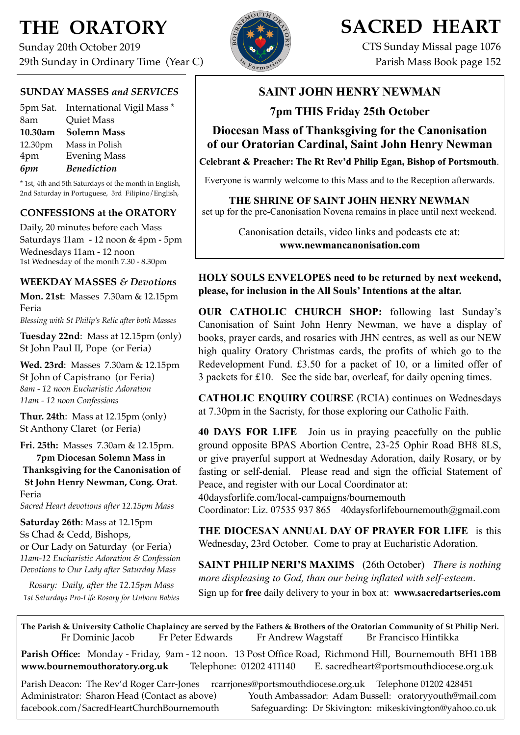# **THE ORATORY**

Sunday 20th October 2019 29th Sunday in Ordinary Time (Year C)

## **SUNDAY MASSES** *and SERVICES*

|         | 5pm Sat. International Vigil Mass * |
|---------|-------------------------------------|
| 8am     | <b>Quiet Mass</b>                   |
| 10.30am | <b>Solemn Mass</b>                  |
| 12.30pm | Mass in Polish                      |
| 4pm     | <b>Evening Mass</b>                 |
| 6pm     | <b>Benediction</b>                  |

\* 1st, 4th and 5th Saturdays of the month in English, 2nd Saturday in Portuguese, 3rd Filipino/English,

## **CONFESSIONS at the ORATORY**

Daily, 20 minutes before each Mass Saturdays 11am - 12 noon & 4pm - 5pm Wednesdays 11am - 12 noon 1st Wednesday of the month 7.30 - 8.30pm

### **WEEKDAY MASSES** *& Devotions*

**Mon. 21st**: Masses 7.30am & 12.15pm Feria *Blessing with St Philip's Relic after both Masses*

**Tuesday 22nd**: Mass at 12.15pm (only) St John Paul II, Pope (or Feria)

**Wed. 23rd**: Masses7.30am & 12.15pm St John of Capistrano (or Feria) *8am - 12 noon Eucharistic Adoration 11am - 12 noon Confessions*

**Thur. 24th**: Mass at 12.15pm (only) St Anthony Claret (or Feria)

**Fri. 25th:** Masses 7.30am & 12.15pm. **7pm Diocesan Solemn Mass in Thanksgiving for the Canonisation of St John Henry Newman, Cong. Orat**. Feria *Sacred Heart devotions after 12.15pm Mass*

**Saturday 26th**: Mass at 12.15pm Ss Chad & Cedd, Bishops, or Our Lady on Saturday (or Feria) *11am-12 Eucharistic Adoration & Confession Devotions to Our Lady after Saturday Mass*

*Rosary: Daily, after the 12.15pm Mass 1st Saturdays Pro-Life Rosary for Unborn Babies*



# **SACRED HEART**

CTS Sunday Missal page 1076 Parish Mass Book page 152

# **SAINT JOHN HENRY NEWMAN**

**7pm THIS Friday 25th October** 

**Diocesan Mass of Thanksgiving for the Canonisation of our Oratorian Cardinal, Saint John Henry Newman** 

**Celebrant & Preacher: The Rt Rev'd Philip Egan, Bishop of Portsmouth**.

Everyone is warmly welcome to this Mass and to the Reception afterwards.

**THE SHRINE OF SAINT JOHN HENRY NEWMAN**  set up for the pre-Canonisation Novena remains in place until next weekend.

> Canonisation details, video links and podcasts etc at: **[www.newmancanonisation.com](http://www.newmancanonisation.com)**

## **HOLY SOULS ENVELOPES need to be returned by next weekend, please, for inclusion in the All Souls' Intentions at the altar.**

**OUR CATHOLIC CHURCH SHOP:** following last Sunday's Canonisation of Saint John Henry Newman, we have a display of books, prayer cards, and rosaries with JHN centres, as well as our NEW high quality Oratory Christmas cards, the profits of which go to the Redevelopment Fund. £3.50 for a packet of 10, or a limited offer of 3 packets for £10. See the side bar, overleaf, for daily opening times.

**CATHOLIC ENQUIRY COURSE** (RCIA) continues on Wednesdays at 7.30pm in the Sacristy, for those exploring our Catholic Faith.

**40 DAYS FOR LIFE** Join us in praying peacefully on the public ground opposite BPAS Abortion Centre, 23-25 Ophir Road BH8 8LS, or give prayerful support at Wednesday Adoration, daily Rosary, or by fasting or self-denial. Please read and sign the official Statement of Peace, and register with our Local Coordinator at:

40daysforlife.com/local-campaigns/bournemouth

Coordinator: Liz. 07535 937 865 [40daysforlifebournemouth@gmail.com](mailto:40daysforlifebournemouth@gmail.com)

**THE DIOCESAN ANNUAL DAY OF PRAYER FOR LIFE** is this Wednesday, 23rd October. Come to pray at Eucharistic Adoration.

**SAINT PHILIP NERI'S MAXIMS** (26th October) *There is nothing more displeasing to God, than our being inflated with self-esteem*. Sign up for **free** daily delivery to your in box at: **[www.sacredartseries.com](http://www.sacredartseries.com)**

**The Parish & University Catholic Chaplaincy are served by the Fathers & Brothers of the Oratorian Community of St Philip Neri.** Fr Dominic Jacob Fr Peter Edwards Fr Andrew Wagstaff Br Francisco Hintikka

**Parish Office:** Monday - Friday, 9am - 12 noon. 13 Post Office Road, Richmond Hill, Bournemouth BH1 1BB **[www.bournemouthoratory.org.uk](http://www.bournemoithoratory.org.uk)** Telephone: 01202 411140 E. [sacredheart@portsmouthdiocese.org.uk](mailto:sacredheart@portsmouthdiocese.org.uk)

Parish Deacon: The Rev'd Roger Carr-Jones [rcarrjones@portsmouthdiocese.org.uk](mailto:rcarrjones@portsmouthdiocese.org.uk) Telephone 01202 428451 Administrator: Sharon Head (Contact as above) Youth Ambassador: Adam Bussell: [oratoryyouth@mail.com](http://oratoryyouth.mail.com) [facebook.com/SacredHeartChurchBournemouth](http://facebook.com/SaccredHeartChurchBournemouth) Safeguarding: Dr Skivington: mikeskivington@yahoo.co.uk